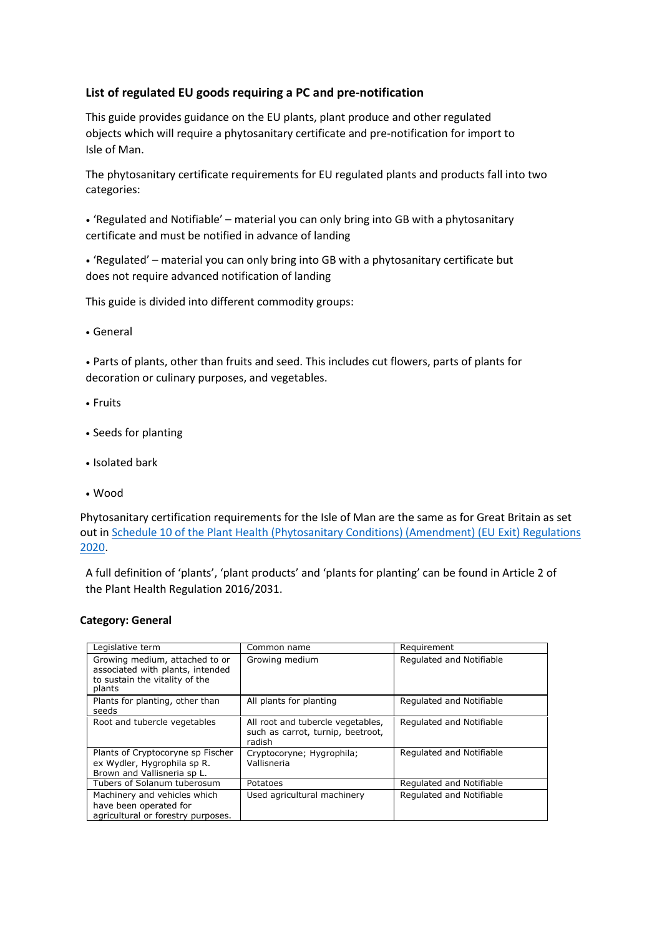#### **List of regulated EU goods requiring a PC and pre-notification**

This guide provides guidance on the EU plants, plant produce and other regulated objects which will require a phytosanitary certificate and pre-notification for import to Isle of Man.

The phytosanitary certificate requirements for EU regulated plants and products fall into two categories:

• 'Regulated and Notifiable' – material you can only bring into GB with a phytosanitary certificate and must be notified in advance of landing

• 'Regulated' – material you can only bring into GB with a phytosanitary certificate but does not require advanced notification of landing

This guide is divided into different commodity groups:

• General

• Parts of plants, other than fruits and seed. This includes cut flowers, parts of plants for decoration or culinary purposes, and vegetables.

- Fruits
- Seeds for planting
- Isolated bark
- Wood

Phytosanitary certification requirements for the Isle of Man are the same as for Great Britain as set out i[n Schedule 10 of the Plant Health \(Phytosanitary Conditions\) \(Amendment\) \(EU Exit\) Regulations](https://www.legislation.gov.uk/uksi/2020/1527/schedule/10/made)  [2020.](https://www.legislation.gov.uk/uksi/2020/1527/schedule/10/made)

A full definition of 'plants', 'plant products' and 'plants for planting' can be found in Article 2 of the Plant Health Regulation 2016/2031.

#### **Category: General**

| Legislative term                                                                                               | Common name                                                                      | Requirement              |
|----------------------------------------------------------------------------------------------------------------|----------------------------------------------------------------------------------|--------------------------|
| Growing medium, attached to or<br>associated with plants, intended<br>to sustain the vitality of the<br>plants | Growing medium                                                                   | Regulated and Notifiable |
| Plants for planting, other than<br>seeds                                                                       | All plants for planting                                                          | Regulated and Notifiable |
| Root and tubercle vegetables                                                                                   | All root and tubercle vegetables,<br>such as carrot, turnip, beetroot,<br>radish | Regulated and Notifiable |
| Plants of Cryptocoryne sp Fischer<br>ex Wydler, Hygrophila sp R.<br>Brown and Vallisneria sp L.                | Cryptocoryne; Hygrophila;<br>Vallisneria                                         | Regulated and Notifiable |
| Tubers of Solanum tuberosum                                                                                    | Potatoes                                                                         | Regulated and Notifiable |
| Machinery and vehicles which<br>have been operated for<br>agricultural or forestry purposes.                   | Used agricultural machinery                                                      | Regulated and Notifiable |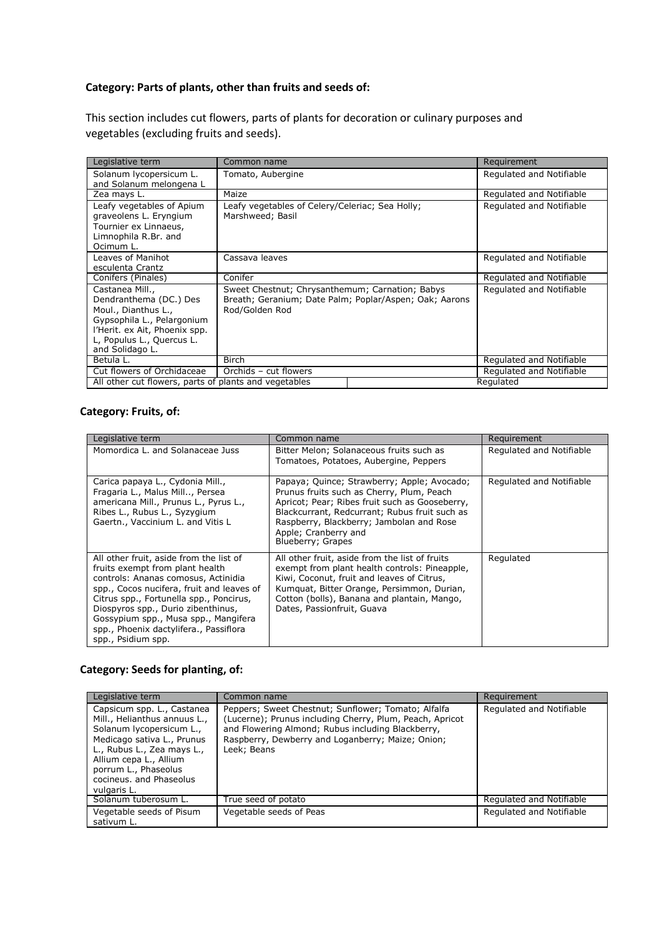# **Category: Parts of plants, other than fruits and seeds of:**

This section includes cut flowers, parts of plants for decoration or culinary purposes and vegetables (excluding fruits and seeds).

| Legislative term                                                                                                                                                                | Common name                                                         |                                                        | Requirement              |
|---------------------------------------------------------------------------------------------------------------------------------------------------------------------------------|---------------------------------------------------------------------|--------------------------------------------------------|--------------------------|
| Solanum lycopersicum L.<br>and Solanum melongena L                                                                                                                              | Tomato, Aubergine                                                   |                                                        | Regulated and Notifiable |
| Zea mays L.                                                                                                                                                                     | Maize                                                               |                                                        | Regulated and Notifiable |
| Leafy vegetables of Apium<br>graveolens L. Eryngium<br>Tournier ex Linnaeus,<br>Limnophila R.Br. and<br>Ocimum L.                                                               | Leafy vegetables of Celery/Celeriac; Sea Holly;<br>Marshweed; Basil |                                                        | Regulated and Notifiable |
| Leaves of Manihot                                                                                                                                                               | Cassava leaves                                                      |                                                        | Regulated and Notifiable |
| esculenta Crantz                                                                                                                                                                |                                                                     |                                                        |                          |
| Conifers (Pinales)                                                                                                                                                              | Conifer                                                             |                                                        | Regulated and Notifiable |
| Castanea Mill.,<br>Dendranthema (DC.) Des<br>Moul., Dianthus L.,<br>Gypsophila L., Pelargonium<br>l'Herit. ex Ait, Phoenix spp.<br>L, Populus L., Quercus L.<br>and Solidago L. | Sweet Chestnut; Chrysanthemum; Carnation; Babys<br>Rod/Golden Rod   | Breath; Geranium; Date Palm; Poplar/Aspen; Oak; Aarons | Regulated and Notifiable |
| Betula L.                                                                                                                                                                       | <b>Birch</b>                                                        |                                                        | Regulated and Notifiable |
| Cut flowers of Orchidaceae                                                                                                                                                      | Orchids - cut flowers                                               |                                                        | Regulated and Notifiable |
| All other cut flowers, parts of plants and vegetables                                                                                                                           |                                                                     |                                                        | Regulated                |

#### **Category: Fruits, of:**

| Legislative term                                                                                                                                                                                                                                                                                                                                        | Common name                                                                                                                                                                                                                                                                          | Requirement              |
|---------------------------------------------------------------------------------------------------------------------------------------------------------------------------------------------------------------------------------------------------------------------------------------------------------------------------------------------------------|--------------------------------------------------------------------------------------------------------------------------------------------------------------------------------------------------------------------------------------------------------------------------------------|--------------------------|
| Momordica L. and Solanaceae Juss                                                                                                                                                                                                                                                                                                                        | Bitter Melon; Solanaceous fruits such as<br>Tomatoes, Potatoes, Aubergine, Peppers                                                                                                                                                                                                   | Regulated and Notifiable |
| Carica papaya L., Cydonia Mill.,<br>Fragaria L., Malus Mill, Persea<br>americana Mill., Prunus L., Pyrus L.,<br>Ribes L., Rubus L., Syzygium<br>Gaertn., Vaccinium L. and Vitis L                                                                                                                                                                       | Papaya; Quince; Strawberry; Apple; Avocado;<br>Prunus fruits such as Cherry, Plum, Peach<br>Apricot; Pear; Ribes fruit such as Gooseberry,<br>Blackcurrant, Redcurrant; Rubus fruit such as<br>Raspberry, Blackberry; Jambolan and Rose<br>Apple; Cranberry and<br>Blueberry; Grapes | Regulated and Notifiable |
| All other fruit, aside from the list of<br>fruits exempt from plant health<br>controls: Ananas comosus, Actinidia<br>spp., Cocos nucifera, fruit and leaves of<br>Citrus spp., Fortunella spp., Poncirus,<br>Diospyros spp., Durio zibenthinus,<br>Gossypium spp., Musa spp., Mangifera<br>spp., Phoenix dactylifera., Passiflora<br>spp., Psidium spp. | All other fruit, aside from the list of fruits<br>exempt from plant health controls: Pineapple,<br>Kiwi, Coconut, fruit and leaves of Citrus,<br>Kumquat, Bitter Orange, Persimmon, Durian,<br>Cotton (bolls), Banana and plantain, Mango,<br>Dates, Passionfruit, Guava             | Regulated                |

# **Category: Seeds for planting, of:**

| Legislative term                                                                                                                                                                                                                               | Common name                                                                                                                                                                                                                              | Requirement              |
|------------------------------------------------------------------------------------------------------------------------------------------------------------------------------------------------------------------------------------------------|------------------------------------------------------------------------------------------------------------------------------------------------------------------------------------------------------------------------------------------|--------------------------|
| Capsicum spp. L., Castanea<br>Mill., Helianthus annuus L.,<br>Solanum lycopersicum L.,<br>Medicago sativa L., Prunus<br>L., Rubus L., Zea mays L.,<br>Allium cepa L., Allium<br>porrum L., Phaseolus<br>cocineus, and Phaseolus<br>vulgaris L. | Peppers; Sweet Chestnut; Sunflower; Tomato; Alfalfa<br>(Lucerne); Prunus including Cherry, Plum, Peach, Apricot<br>and Flowering Almond; Rubus including Blackberry,<br>Raspberry, Dewberry and Loganberry; Maize; Onion;<br>Leek; Beans | Regulated and Notifiable |
| Solanum tuberosum L.                                                                                                                                                                                                                           | True seed of potato                                                                                                                                                                                                                      | Regulated and Notifiable |
| Vegetable seeds of Pisum<br>sativum L.                                                                                                                                                                                                         | Vegetable seeds of Peas                                                                                                                                                                                                                  | Regulated and Notifiable |